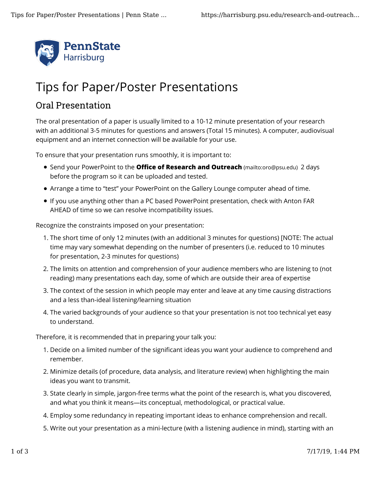

## Tips for Paper/Poster Presentations

## Oral Presentation

The oral presentation of a paper is usually limited to a 10-12 minute presentation of your research with an additional 3-5 minutes for questions and answers (Total 15 minutes). A computer, audiovisual equipment and an internet connection will be available for your use.

To ensure that your presentation runs smoothly, it is important to:

- Send your PowerPoint to the **Office of Research and Outreach** (mailto:oro@psu.edu) 2 days before the program so it can be uploaded and tested.
- Arrange a time to "test" your PowerPoint on the Gallery Lounge computer ahead of time.
- If you use anything other than a PC based PowerPoint presentation, check with Anton FAR AHEAD of time so we can resolve incompatibility issues.

Recognize the constraints imposed on your presentation:

- 1. The short time of only 12 minutes (with an additional 3 minutes for questions) [NOTE: The actual time may vary somewhat depending on the number of presenters (i.e. reduced to 10 minutes for presentation, 2-3 minutes for questions)
- 2. The limits on attention and comprehension of your audience members who are listening to (not reading) many presentations each day, some of which are outside their area of expertise
- 3. The context of the session in which people may enter and leave at any time causing distractions and a less than-ideal listening/learning situation
- 4. The varied backgrounds of your audience so that your presentation is not too technical yet easy to understand.

Therefore, it is recommended that in preparing your talk you:

- 1. Decide on a limited number of the significant ideas you want your audience to comprehend and remember.
- 2. Minimize details (of procedure, data analysis, and literature review) when highlighting the main ideas you want to transmit.
- 3. State clearly in simple, jargon-free terms what the point of the research is, what you discovered, and what you think it means—its conceptual, methodological, or practical value.
- 4. Employ some redundancy in repeating important ideas to enhance comprehension and recall.
- 5. Write out your presentation as a mini-lecture (with a listening audience in mind), starting with an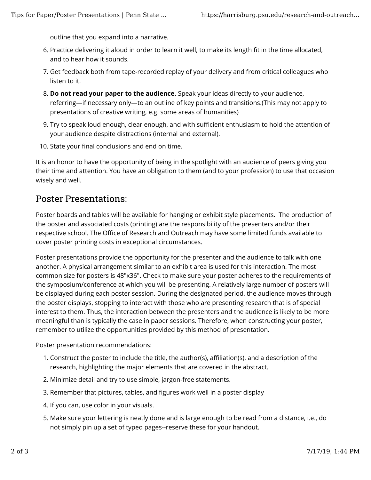outline that you expand into a narrative.

- 6. Practice delivering it aloud in order to learn it well, to make its length fit in the time allocated, and to hear how it sounds.
- 7. Get feedback both from tape-recorded replay of your delivery and from critical colleagues who listen to it.
- **Do not read your paper to the audience.** Speak your ideas directly to your audience, 8. referring—if necessary only—to an outline of key points and transitions.(This may not apply to presentations of creative writing, e.g. some areas of humanities)
- 9. Try to speak loud enough, clear enough, and with sufficient enthusiasm to hold the attention of your audience despite distractions (internal and external).
- 10. State your final conclusions and end on time.

It is an honor to have the opportunity of being in the spotlight with an audience of peers giving you their time and attention. You have an obligation to them (and to your profession) to use that occasion wisely and well.

## Poster Presentations:

Poster boards and tables will be available for hanging or exhibit style placements. The production of the poster and associated costs (printing) are the responsibility of the presenters and/or their respective school. The Office of Research and Outreach may have some limited funds available to cover poster printing costs in exceptional circumstances.

Poster presentations provide the opportunity for the presenter and the audience to talk with one another. A physical arrangement similar to an exhibit area is used for this interaction. The most common size for posters is 48"x36". Check to make sure your poster adheres to the requirements of the symposium/conference at which you will be presenting. A relatively large number of posters will be displayed during each poster session. During the designated period, the audience moves through the poster displays, stopping to interact with those who are presenting research that is of special interest to them. Thus, the interaction between the presenters and the audience is likely to be more meaningful than is typically the case in paper sessions. Therefore, when constructing your poster, remember to utilize the opportunities provided by this method of presentation.

Poster presentation recommendations:

- 1. Construct the poster to include the title, the author(s), affiliation(s), and a description of the research, highlighting the major elements that are covered in the abstract.
- 2. Minimize detail and try to use simple, jargon-free statements.
- 3. Remember that pictures, tables, and figures work well in a poster display
- 4. If you can, use color in your visuals.
- 5. Make sure your lettering is neatly done and is large enough to be read from a distance, i.e., do not simply pin up a set of typed pages--reserve these for your handout.